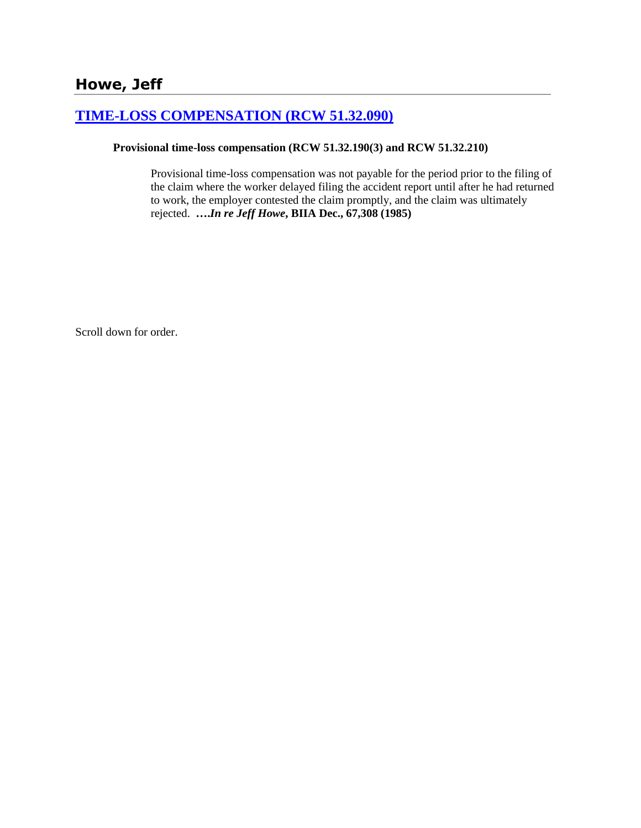# **[TIME-LOSS COMPENSATION \(RCW 51.32.090\)](http://www.biia.wa.gov/SDSubjectIndex.html#TIME_LOSS_COMPENSATION)**

#### **Provisional time-loss compensation (RCW 51.32.190(3) and RCW 51.32.210)**

Provisional time-loss compensation was not payable for the period prior to the filing of the claim where the worker delayed filing the accident report until after he had returned to work, the employer contested the claim promptly, and the claim was ultimately rejected. **….***In re Jeff Howe***, BIIA Dec., 67,308 (1985)**

Scroll down for order.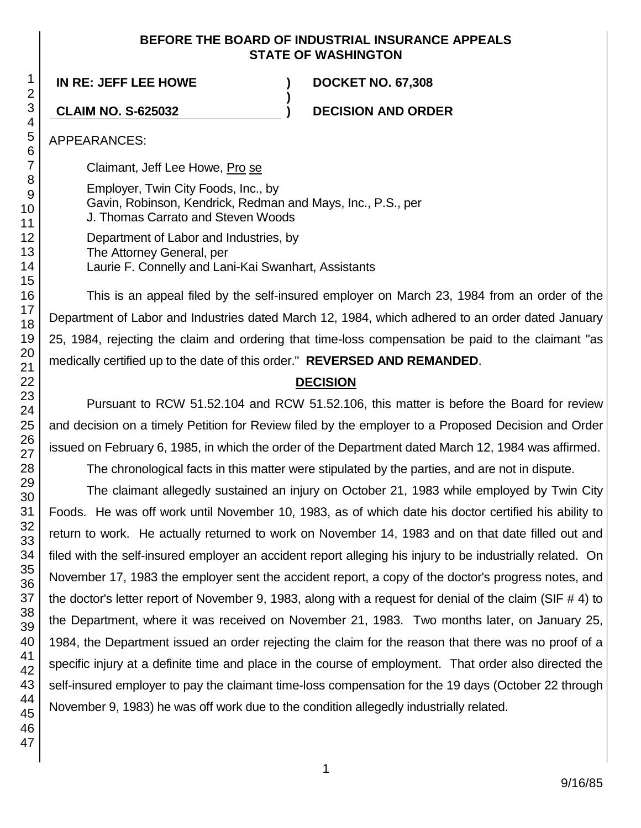## **BEFORE THE BOARD OF INDUSTRIAL INSURANCE APPEALS STATE OF WASHINGTON**

**)**

**IN RE: JEFF LEE HOWE ) DOCKET NO. 67,308**

**CLAIM NO. S-625032 ) DECISION AND ORDER**

APPEARANCES:

Claimant, Jeff Lee Howe, Pro se

Employer, Twin City Foods, Inc., by Gavin, Robinson, Kendrick, Redman and Mays, Inc., P.S., per J. Thomas Carrato and Steven Woods

Department of Labor and Industries, by The Attorney General, per Laurie F. Connelly and Lani-Kai Swanhart, Assistants

This is an appeal filed by the self-insured employer on March 23, 1984 from an order of the Department of Labor and Industries dated March 12, 1984, which adhered to an order dated January 25, 1984, rejecting the claim and ordering that time-loss compensation be paid to the claimant "as medically certified up to the date of this order." **REVERSED AND REMANDED**.

## **DECISION**

Pursuant to RCW 51.52.104 and RCW 51.52.106, this matter is before the Board for review and decision on a timely Petition for Review filed by the employer to a Proposed Decision and Order issued on February 6, 1985, in which the order of the Department dated March 12, 1984 was affirmed.

The chronological facts in this matter were stipulated by the parties, and are not in dispute.

The claimant allegedly sustained an injury on October 21, 1983 while employed by Twin City Foods. He was off work until November 10, 1983, as of which date his doctor certified his ability to return to work. He actually returned to work on November 14, 1983 and on that date filled out and filed with the self-insured employer an accident report alleging his injury to be industrially related. On November 17, 1983 the employer sent the accident report, a copy of the doctor's progress notes, and the doctor's letter report of November 9, 1983, along with a request for denial of the claim (SIF # 4) to the Department, where it was received on November 21, 1983. Two months later, on January 25, 1984, the Department issued an order rejecting the claim for the reason that there was no proof of a specific injury at a definite time and place in the course of employment. That order also directed the self-insured employer to pay the claimant time-loss compensation for the 19 days (October 22 through November 9, 1983) he was off work due to the condition allegedly industrially related.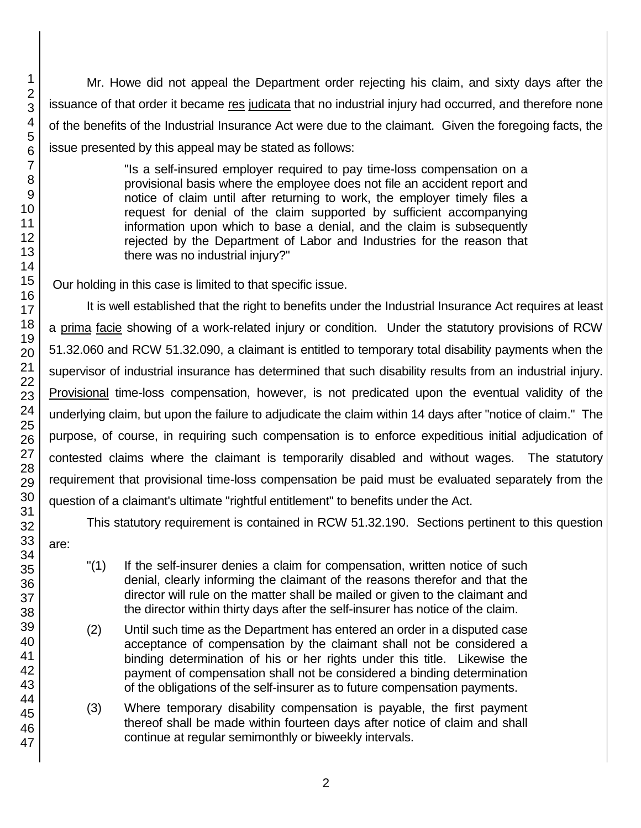Mr. Howe did not appeal the Department order rejecting his claim, and sixty days after the issuance of that order it became res judicata that no industrial injury had occurred, and therefore none of the benefits of the Industrial Insurance Act were due to the claimant. Given the foregoing facts, the issue presented by this appeal may be stated as follows:

> "Is a self-insured employer required to pay time-loss compensation on a provisional basis where the employee does not file an accident report and notice of claim until after returning to work, the employer timely files a request for denial of the claim supported by sufficient accompanying information upon which to base a denial, and the claim is subsequently rejected by the Department of Labor and Industries for the reason that there was no industrial injury?"

Our holding in this case is limited to that specific issue.

It is well established that the right to benefits under the Industrial Insurance Act requires at least a prima facie showing of a work-related injury or condition. Under the statutory provisions of RCW 51.32.060 and RCW 51.32.090, a claimant is entitled to temporary total disability payments when the supervisor of industrial insurance has determined that such disability results from an industrial injury. Provisional time-loss compensation, however, is not predicated upon the eventual validity of the underlying claim, but upon the failure to adjudicate the claim within 14 days after "notice of claim." The purpose, of course, in requiring such compensation is to enforce expeditious initial adjudication of contested claims where the claimant is temporarily disabled and without wages. The statutory requirement that provisional time-loss compensation be paid must be evaluated separately from the question of a claimant's ultimate "rightful entitlement" to benefits under the Act.

This statutory requirement is contained in RCW 51.32.190. Sections pertinent to this question

are:

- "(1) If the self-insurer denies a claim for compensation, written notice of such denial, clearly informing the claimant of the reasons therefor and that the director will rule on the matter shall be mailed or given to the claimant and the director within thirty days after the self-insurer has notice of the claim.
- (2) Until such time as the Department has entered an order in a disputed case acceptance of compensation by the claimant shall not be considered a binding determination of his or her rights under this title. Likewise the payment of compensation shall not be considered a binding determination of the obligations of the self-insurer as to future compensation payments.
- (3) Where temporary disability compensation is payable, the first payment thereof shall be made within fourteen days after notice of claim and shall continue at regular semimonthly or biweekly intervals.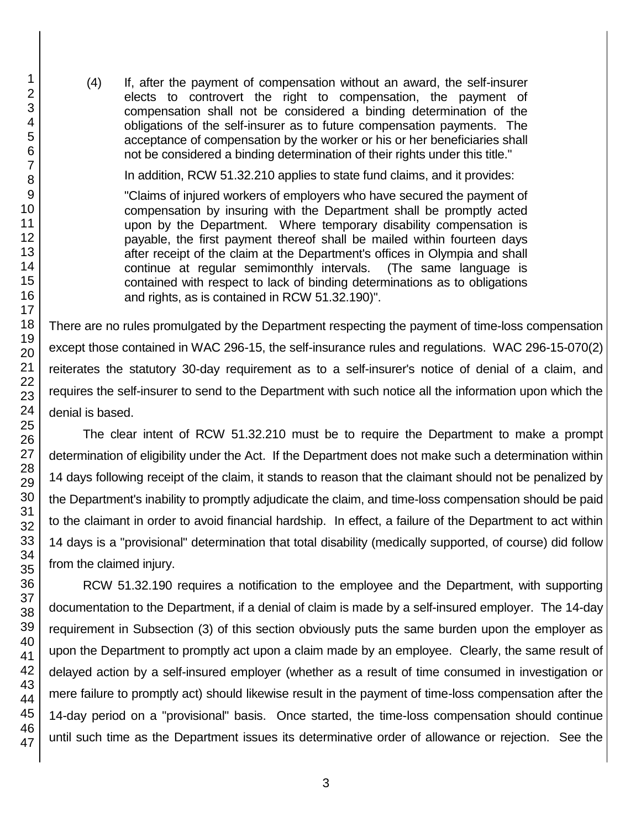(4) If, after the payment of compensation without an award, the self-insurer elects to controvert the right to compensation, the payment of compensation shall not be considered a binding determination of the obligations of the self-insurer as to future compensation payments. The acceptance of compensation by the worker or his or her beneficiaries shall not be considered a binding determination of their rights under this title."

In addition, RCW 51.32.210 applies to state fund claims, and it provides:

"Claims of injured workers of employers who have secured the payment of compensation by insuring with the Department shall be promptly acted upon by the Department. Where temporary disability compensation is payable, the first payment thereof shall be mailed within fourteen days after receipt of the claim at the Department's offices in Olympia and shall continue at regular semimonthly intervals. (The same language is contained with respect to lack of binding determinations as to obligations and rights, as is contained in RCW 51.32.190)".

There are no rules promulgated by the Department respecting the payment of time-loss compensation except those contained in WAC 296-15, the self-insurance rules and regulations. WAC 296-15-070(2) reiterates the statutory 30-day requirement as to a self-insurer's notice of denial of a claim, and requires the self-insurer to send to the Department with such notice all the information upon which the denial is based.

The clear intent of RCW 51.32.210 must be to require the Department to make a prompt determination of eligibility under the Act. If the Department does not make such a determination within 14 days following receipt of the claim, it stands to reason that the claimant should not be penalized by the Department's inability to promptly adjudicate the claim, and time-loss compensation should be paid to the claimant in order to avoid financial hardship. In effect, a failure of the Department to act within 14 days is a "provisional" determination that total disability (medically supported, of course) did follow from the claimed injury.

RCW 51.32.190 requires a notification to the employee and the Department, with supporting documentation to the Department, if a denial of claim is made by a self-insured employer. The 14-day requirement in Subsection (3) of this section obviously puts the same burden upon the employer as upon the Department to promptly act upon a claim made by an employee. Clearly, the same result of delayed action by a self-insured employer (whether as a result of time consumed in investigation or mere failure to promptly act) should likewise result in the payment of time-loss compensation after the 14-day period on a "provisional" basis. Once started, the time-loss compensation should continue until such time as the Department issues its determinative order of allowance or rejection. See the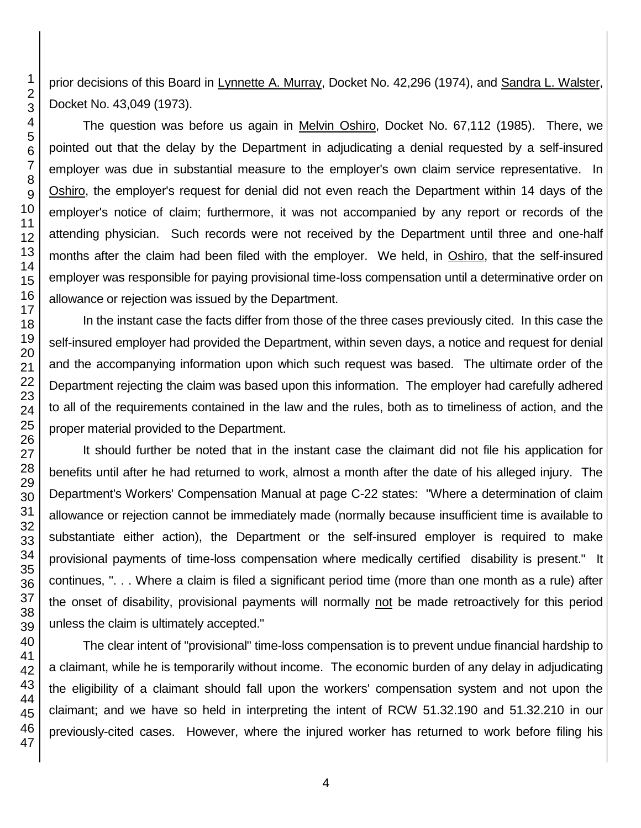prior decisions of this Board in Lynnette A. Murray, Docket No. 42,296 (1974), and Sandra L. Walster, Docket No. 43,049 (1973).

The question was before us again in Melvin Oshiro, Docket No. 67,112 (1985). There, we pointed out that the delay by the Department in adjudicating a denial requested by a self-insured employer was due in substantial measure to the employer's own claim service representative. In Oshiro, the employer's request for denial did not even reach the Department within 14 days of the employer's notice of claim; furthermore, it was not accompanied by any report or records of the attending physician. Such records were not received by the Department until three and one-half months after the claim had been filed with the employer. We held, in Oshiro, that the self-insured employer was responsible for paying provisional time-loss compensation until a determinative order on allowance or rejection was issued by the Department.

In the instant case the facts differ from those of the three cases previously cited. In this case the self-insured employer had provided the Department, within seven days, a notice and request for denial and the accompanying information upon which such request was based. The ultimate order of the Department rejecting the claim was based upon this information. The employer had carefully adhered to all of the requirements contained in the law and the rules, both as to timeliness of action, and the proper material provided to the Department.

It should further be noted that in the instant case the claimant did not file his application for benefits until after he had returned to work, almost a month after the date of his alleged injury. The Department's Workers' Compensation Manual at page C-22 states: "Where a determination of claim allowance or rejection cannot be immediately made (normally because insufficient time is available to substantiate either action), the Department or the self-insured employer is required to make provisional payments of time-loss compensation where medically certified disability is present." It continues, ". . . Where a claim is filed a significant period time (more than one month as a rule) after the onset of disability, provisional payments will normally not be made retroactively for this period unless the claim is ultimately accepted."

The clear intent of "provisional" time-loss compensation is to prevent undue financial hardship to a claimant, while he is temporarily without income. The economic burden of any delay in adjudicating the eligibility of a claimant should fall upon the workers' compensation system and not upon the claimant; and we have so held in interpreting the intent of RCW 51.32.190 and 51.32.210 in our previously-cited cases. However, where the injured worker has returned to work before filing his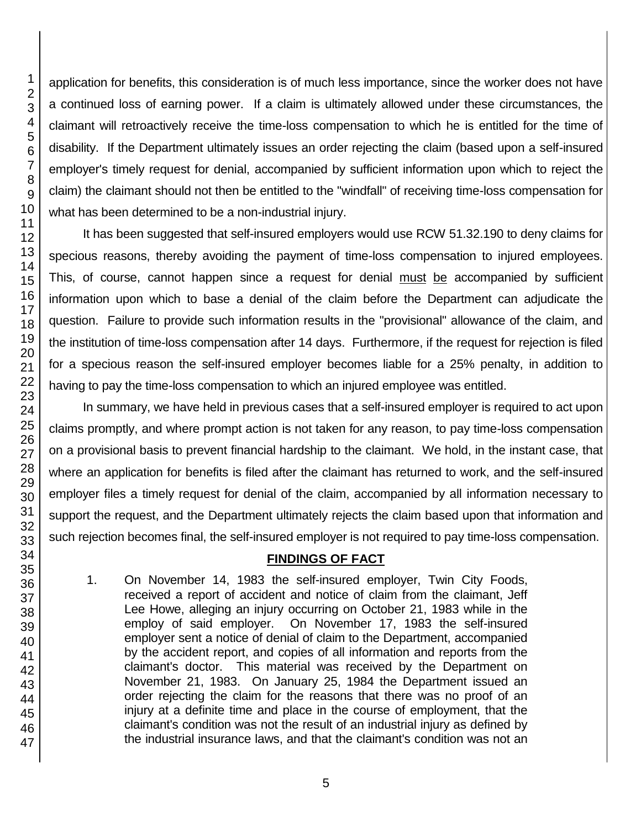application for benefits, this consideration is of much less importance, since the worker does not have a continued loss of earning power. If a claim is ultimately allowed under these circumstances, the claimant will retroactively receive the time-loss compensation to which he is entitled for the time of disability. If the Department ultimately issues an order rejecting the claim (based upon a self-insured employer's timely request for denial, accompanied by sufficient information upon which to reject the claim) the claimant should not then be entitled to the "windfall" of receiving time-loss compensation for what has been determined to be a non-industrial injury.

It has been suggested that self-insured employers would use RCW 51.32.190 to deny claims for specious reasons, thereby avoiding the payment of time-loss compensation to injured employees. This, of course, cannot happen since a request for denial must be accompanied by sufficient information upon which to base a denial of the claim before the Department can adjudicate the question. Failure to provide such information results in the "provisional" allowance of the claim, and the institution of time-loss compensation after 14 days. Furthermore, if the request for rejection is filed for a specious reason the self-insured employer becomes liable for a 25% penalty, in addition to having to pay the time-loss compensation to which an injured employee was entitled.

In summary, we have held in previous cases that a self-insured employer is required to act upon claims promptly, and where prompt action is not taken for any reason, to pay time-loss compensation on a provisional basis to prevent financial hardship to the claimant. We hold, in the instant case, that where an application for benefits is filed after the claimant has returned to work, and the self-insured employer files a timely request for denial of the claim, accompanied by all information necessary to support the request, and the Department ultimately rejects the claim based upon that information and such rejection becomes final, the self-insured employer is not required to pay time-loss compensation.

## **FINDINGS OF FACT**

1. On November 14, 1983 the self-insured employer, Twin City Foods, received a report of accident and notice of claim from the claimant, Jeff Lee Howe, alleging an injury occurring on October 21, 1983 while in the employ of said employer. On November 17, 1983 the self-insured employer sent a notice of denial of claim to the Department, accompanied by the accident report, and copies of all information and reports from the claimant's doctor. This material was received by the Department on November 21, 1983. On January 25, 1984 the Department issued an order rejecting the claim for the reasons that there was no proof of an injury at a definite time and place in the course of employment, that the claimant's condition was not the result of an industrial injury as defined by the industrial insurance laws, and that the claimant's condition was not an